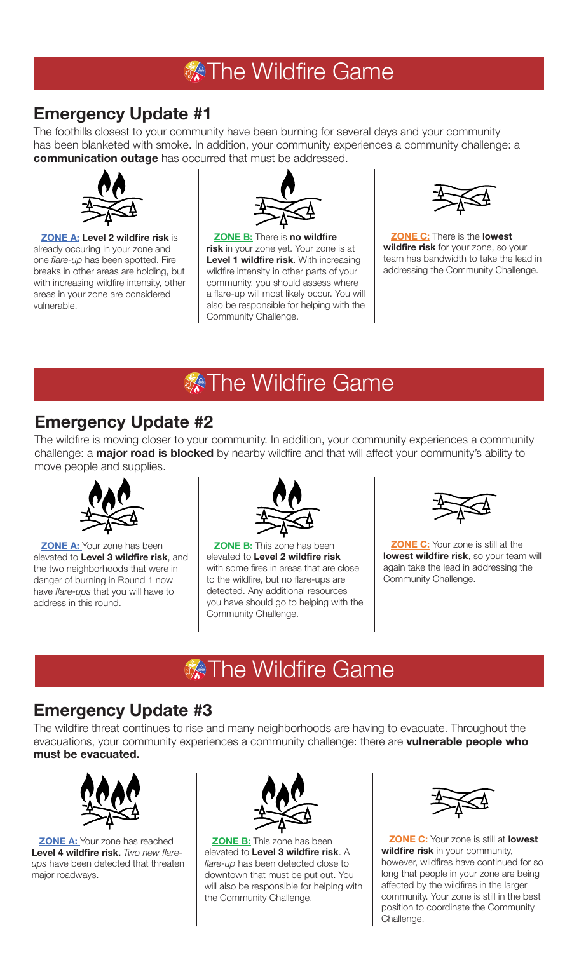## **X** The Wildfire Game

## **Emergency Update #1**

The foothills closest to your community have been burning for several days and your community has been blanketed with smoke. In addition, your community experiences a community challenge: a **communication outage** has occurred that must be addressed.



**ZONE A: Level 2 wildfire risk** is already occuring in your zone and one *flare-up* has been spotted. Fire breaks in other areas are holding, but with increasing wildfire intensity, other areas in your zone are considered vulnerable.



**ZONE B:** There is **no wildfire risk** in your zone yet. Your zone is at **Level 1 wildfire risk**. With increasing wildfire intensity in other parts of your community, you should assess where a flare-up will most likely occur. You will also be responsible for helping with the Community Challenge.



**ZONE C:** There is the **lowest wildfire risk** for your zone, so your team has bandwidth to take the lead in addressing the Community Challenge.

# **Mildfire Game**

### **Emergency Update #2**

The wildfire is moving closer to your community. In addition, your community experiences a community challenge: a **major road is blocked** by nearby wildfire and that will affect your community's ability to move people and supplies.



**ZONE A:** Your zone has been elevated to **Level 3 wildfire risk**, and the two neighborhoods that were in danger of burning in Round 1 now have *flare-ups* that you will have to address in this round.



**ZONE B:** This zone has been elevated to **Level 2 wildfire risk** with some fires in areas that are close to the wildfire, but no flare-ups are detected. Any additional resources you have should go to helping with the Community Challenge.



**ZONE C:** Your zone is still at the **lowest wildfire risk**, so your team will again take the lead in addressing the Community Challenge.

# **X** The Wildfire Game

## **Emergency Update #3**

The wildfire threat continues to rise and many neighborhoods are having to evacuate. Throughout the evacuations, your community experiences a community challenge: there are **vulnerable people who must be evacuated.** 



**ZONE A:** Your zone has reached **Level 4 wildfire risk.** *Two new flareups* have been detected that threaten major roadways.



**ZONE B:** This zone has been elevated to **Level 3 wildfire risk**. A *flare-up* has been detected close to downtown that must be put out. You will also be responsible for helping with the Community Challenge.



**ZONE C:** Your zone is still at **lowest wildfire risk** in your community, however, wildfires have continued for so long that people in your zone are being affected by the wildfires in the larger community. Your zone is still in the best position to coordinate the Community Challenge.